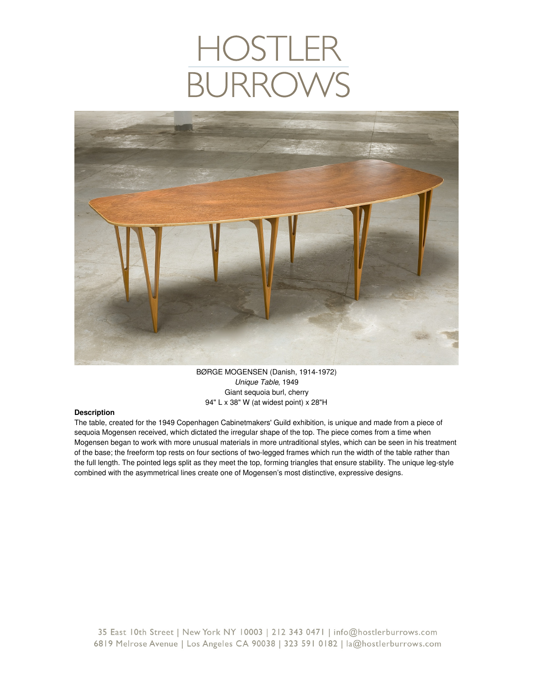

BØRGE MOGENSEN (Danish, 1914-1972) *Unique Table*, 1949 Giant sequoia burl, cherry 94" L x 38" W (at widest point) x 28"H

## **Description**

The table, created for the 1949 Copenhagen Cabinetmakers' Guild exhibition, is unique and made from a piece of sequoia Mogensen received, which dictated the irregular shape of the top. The piece comes from a time when Mogensen began to work with more unusual materials in more untraditional styles, which can be seen in his treatment of the base; the freeform top rests on four sections of two-legged frames which run the width of the table rather than the full length. The pointed legs split as they meet the top, forming triangles that ensure stability. The unique leg-style combined with the asymmetrical lines create one of Mogensen's most distinctive, expressive designs.